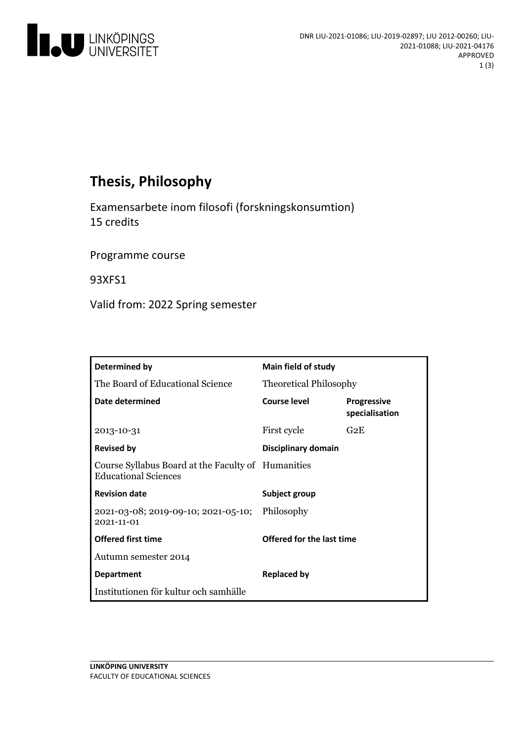

# **Thesis, Philosophy**

Examensarbete inom filosofi (forskningskonsumtion) 15 credits

Programme course

93XFS1

Valid from: 2022 Spring semester

| Determined by                                                                     | <b>Main field of study</b>    |                                      |
|-----------------------------------------------------------------------------------|-------------------------------|--------------------------------------|
| The Board of Educational Science                                                  | <b>Theoretical Philosophy</b> |                                      |
| Date determined                                                                   | Course level                  | <b>Progressive</b><br>specialisation |
| 2013-10-31                                                                        | First cycle                   | G <sub>2</sub> F                     |
| <b>Revised by</b>                                                                 | Disciplinary domain           |                                      |
| Course Syllabus Board at the Faculty of Humanities<br><b>Educational Sciences</b> |                               |                                      |
| <b>Revision date</b>                                                              | Subject group                 |                                      |
| 2021-03-08; 2019-09-10; 2021-05-10; Philosophy<br>2021-11-01                      |                               |                                      |
| <b>Offered first time</b>                                                         | Offered for the last time     |                                      |
| Autumn semester 2014                                                              |                               |                                      |
| <b>Department</b>                                                                 | <b>Replaced by</b>            |                                      |
| Institutionen för kultur och samhälle                                             |                               |                                      |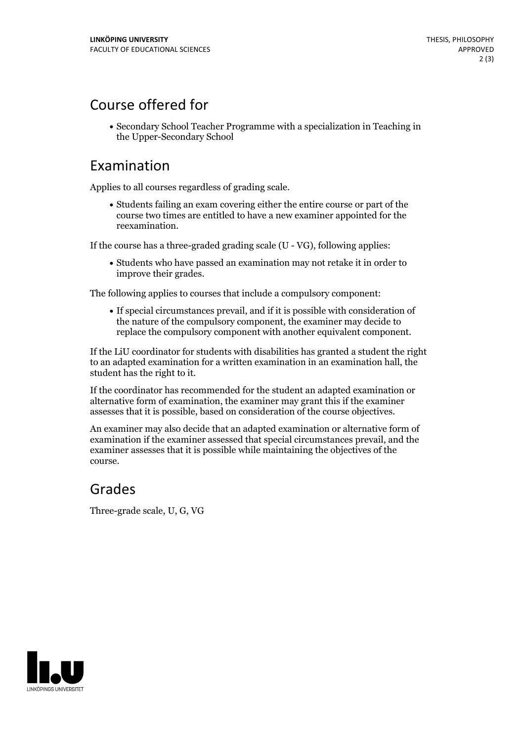## Course offered for

Secondary School Teacher Programme with a specialization in Teaching in the Upper-Secondary School

#### Examination

Applies to all courses regardless of grading scale.

Students failing an exam covering either the entire course or part of the course two times are entitled to have a new examiner appointed for the reexamination.

If the course has a three-graded grading scale (U - VG), following applies:

Students who have passed an examination may not retake it in order to improve their grades.

The following applies to courses that include a compulsory component:

If special circumstances prevail, and if it is possible with consideration of the nature of the compulsory component, the examiner may decide to replace the compulsory component with another equivalent component.

If the LiU coordinator for students with disabilities has granted a student the right to an adapted examination for a written examination in an examination hall, the student has the right to it.

If the coordinator has recommended for the student an adapted examination or alternative form of examination, the examiner may grant this if the examiner assesses that it is possible, based on consideration of the course objectives.

An examiner may also decide that an adapted examination or alternative form of examination if the examiner assessed that special circumstances prevail, and the examiner assesses that it is possible while maintaining the objectives of the course.

### Grades

Three-grade scale, U, G, VG